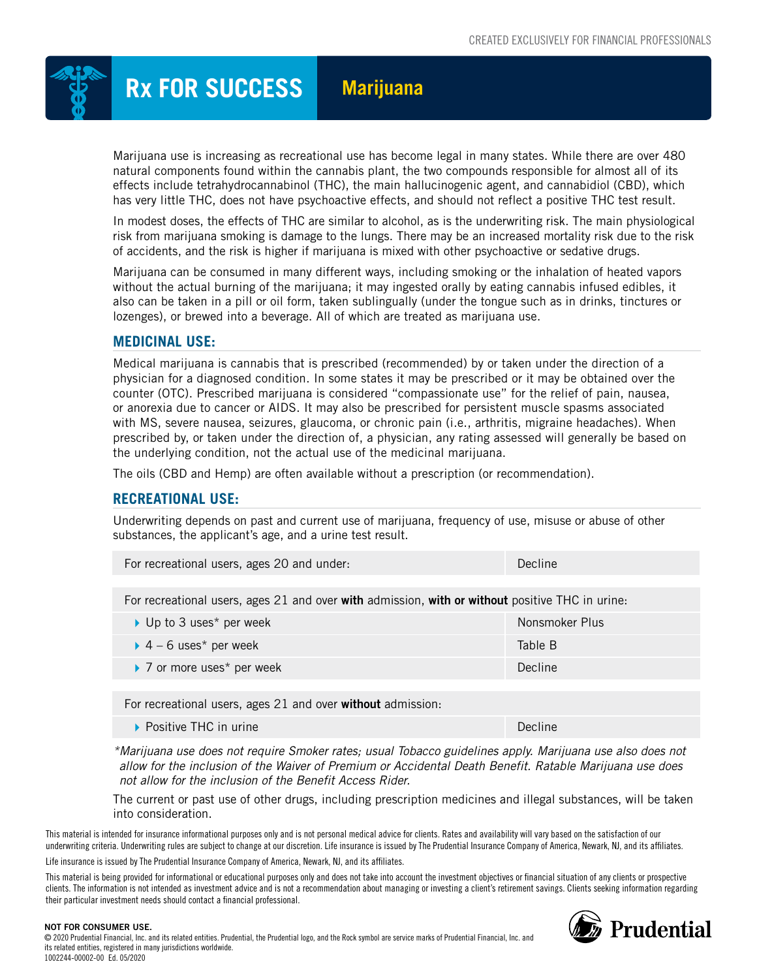

# **Rx FOR SUCCESS Marijuana**

Marijuana use is increasing as recreational use has become legal in many states. While there are over 480 natural components found within the cannabis plant, the two compounds responsible for almost all of its effects include tetrahydrocannabinol (THC), the main hallucinogenic agent, and cannabidiol (CBD), which has very little THC, does not have psychoactive effects, and should not reflect a positive THC test result.

In modest doses, the effects of THC are similar to alcohol, as is the underwriting risk. The main physiological risk from marijuana smoking is damage to the lungs. There may be an increased mortality risk due to the risk of accidents, and the risk is higher if marijuana is mixed with other psychoactive or sedative drugs.

Marijuana can be consumed in many different ways, including smoking or the inhalation of heated vapors without the actual burning of the marijuana; it may ingested orally by eating cannabis infused edibles, it also can be taken in a pill or oil form, taken sublingually (under the tongue such as in drinks, tinctures or lozenges), or brewed into a beverage. All of which are treated as marijuana use.

### **MEDICINAL USE:**

Medical marijuana is cannabis that is prescribed (recommended) by or taken under the direction of a physician for a diagnosed condition. In some states it may be prescribed or it may be obtained over the counter (OTC). Prescribed marijuana is considered "compassionate use" for the relief of pain, nausea, or anorexia due to cancer or AIDS. It may also be prescribed for persistent muscle spasms associated with MS, severe nausea, seizures, glaucoma, or chronic pain (i.e., arthritis, migraine headaches). When prescribed by, or taken under the direction of, a physician, any rating assessed will generally be based on the underlying condition, not the actual use of the medicinal marijuana.

The oils (CBD and Hemp) are often available without a prescription (or recommendation).

### **RECREATIONAL USE:**

Underwriting depends on past and current use of marijuana, frequency of use, misuse or abuse of other substances, the applicant's age, and a urine test result.

|  | For recreational users, ages 20 and under: | Decline |
|--|--------------------------------------------|---------|
|--|--------------------------------------------|---------|

For recreational users, ages 21 and over with admission, with or without positive THC in urine:

| ▶ Up to 3 uses* per week              | Nonsmoker Plus |
|---------------------------------------|----------------|
| $\triangleright$ 4 – 6 uses* per week | Table B        |
| ▶ 7 or more uses* per week            | <b>Decline</b> |

For recreational users, ages 21 and over without admission:

**Positive THC in urine Decline** Decline

*\*Marijuana use does not require Smoker rates; usual Tobacco guidelines apply. Marijuana use also does not allow for the inclusion of the Waiver of Premium or Accidental Death Benefit. Ratable Marijuana use does not allow for the inclusion of the Benefit Access Rider.*

The current or past use of other drugs, including prescription medicines and illegal substances, will be taken into consideration.

This material is intended for insurance informational purposes only and is not personal medical advice for clients. Rates and availability will vary based on the satisfaction of our underwriting criteria. Underwriting rules are subject to change at our discretion. Life insurance is issued by The Prudential Insurance Company of America, Newark, NJ, and its affiliates.

Life insurance is issued by The Prudential Insurance Company of America, Newark, NJ, and its affiliates.

This material is being provided for informational or educational purposes only and does not take into account the investment objectives or financial situation of any clients or prospective clients. The information is not intended as investment advice and is not a recommendation about managing or investing a client's retirement savings. Clients seeking information regarding their particular investment needs should contact a financial professional.



#### NOT FOR CONSUMER USE.